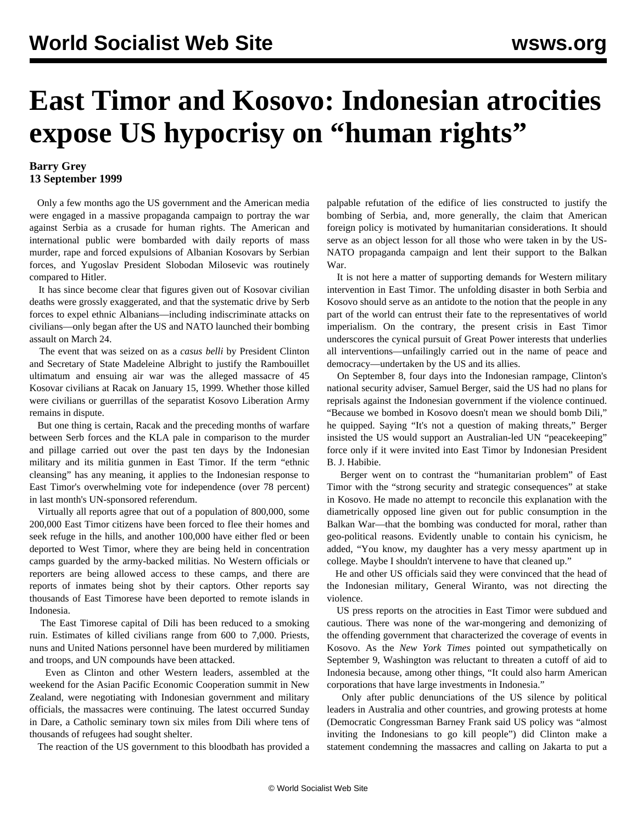## **East Timor and Kosovo: Indonesian atrocities expose US hypocrisy on "human rights"**

## **Barry Grey 13 September 1999**

 Only a few months ago the US government and the American media were engaged in a massive propaganda campaign to portray the war against Serbia as a crusade for human rights. The American and international public were bombarded with daily reports of mass murder, rape and forced expulsions of Albanian Kosovars by Serbian forces, and Yugoslav President Slobodan Milosevic was routinely compared to Hitler.

 It has since become clear that figures given out of Kosovar civilian deaths were grossly exaggerated, and that the systematic drive by Serb forces to expel ethnic Albanians—including indiscriminate attacks on civilians—only began after the US and NATO launched their bombing assault on March 24.

 The event that was seized on as a *casus belli* by President Clinton and Secretary of State Madeleine Albright to justify the Rambouillet ultimatum and ensuing air war was the alleged massacre of 45 Kosovar civilians at Racak on January 15, 1999. Whether those killed were civilians or guerrillas of the separatist Kosovo Liberation Army remains in dispute.

 But one thing is certain, Racak and the preceding months of warfare between Serb forces and the KLA pale in comparison to the murder and pillage carried out over the past ten days by the Indonesian military and its militia gunmen in East Timor. If the term "ethnic cleansing" has any meaning, it applies to the Indonesian response to East Timor's overwhelming vote for independence (over 78 percent) in last month's UN-sponsored referendum.

 Virtually all reports agree that out of a population of 800,000, some 200,000 East Timor citizens have been forced to flee their homes and seek refuge in the hills, and another 100,000 have either fled or been deported to West Timor, where they are being held in concentration camps guarded by the army-backed militias. No Western officials or reporters are being allowed access to these camps, and there are reports of inmates being shot by their captors. Other reports say thousands of East Timorese have been deported to remote islands in Indonesia.

 The East Timorese capital of Dili has been reduced to a smoking ruin. Estimates of killed civilians range from 600 to 7,000. Priests, nuns and United Nations personnel have been murdered by militiamen and troops, and UN compounds have been attacked.

 Even as Clinton and other Western leaders, assembled at the weekend for the Asian Pacific Economic Cooperation summit in New Zealand, were negotiating with Indonesian government and military officials, the massacres were continuing. The latest occurred Sunday in Dare, a Catholic seminary town six miles from Dili where tens of thousands of refugees had sought shelter.

The reaction of the US government to this bloodbath has provided a

palpable refutation of the edifice of lies constructed to justify the bombing of Serbia, and, more generally, the claim that American foreign policy is motivated by humanitarian considerations. It should serve as an object lesson for all those who were taken in by the US-NATO propaganda campaign and lent their support to the Balkan War.

 It is not here a matter of supporting demands for Western military intervention in East Timor. The unfolding disaster in both Serbia and Kosovo should serve as an antidote to the notion that the people in any part of the world can entrust their fate to the representatives of world imperialism. On the contrary, the present crisis in East Timor underscores the cynical pursuit of Great Power interests that underlies all interventions—unfailingly carried out in the name of peace and democracy—undertaken by the US and its allies.

 On September 8, four days into the Indonesian rampage, Clinton's national security adviser, Samuel Berger, said the US had no plans for reprisals against the Indonesian government if the violence continued. "Because we bombed in Kosovo doesn't mean we should bomb Dili," he quipped. Saying "It's not a question of making threats," Berger insisted the US would support an Australian-led UN "peacekeeping" force only if it were invited into East Timor by Indonesian President B. J. Habibie.

 Berger went on to contrast the "humanitarian problem" of East Timor with the "strong security and strategic consequences" at stake in Kosovo. He made no attempt to reconcile this explanation with the diametrically opposed line given out for public consumption in the Balkan War—that the bombing was conducted for moral, rather than geo-political reasons. Evidently unable to contain his cynicism, he added, "You know, my daughter has a very messy apartment up in college. Maybe I shouldn't intervene to have that cleaned up."

 He and other US officials said they were convinced that the head of the Indonesian military, General Wiranto, was not directing the violence.

 US press reports on the atrocities in East Timor were subdued and cautious. There was none of the war-mongering and demonizing of the offending government that characterized the coverage of events in Kosovo. As the *New York Times* pointed out sympathetically on September 9, Washington was reluctant to threaten a cutoff of aid to Indonesia because, among other things, "It could also harm American corporations that have large investments in Indonesia."

 Only after public denunciations of the US silence by political leaders in Australia and other countries, and growing protests at home (Democratic Congressman Barney Frank said US policy was "almost inviting the Indonesians to go kill people") did Clinton make a statement condemning the massacres and calling on Jakarta to put a